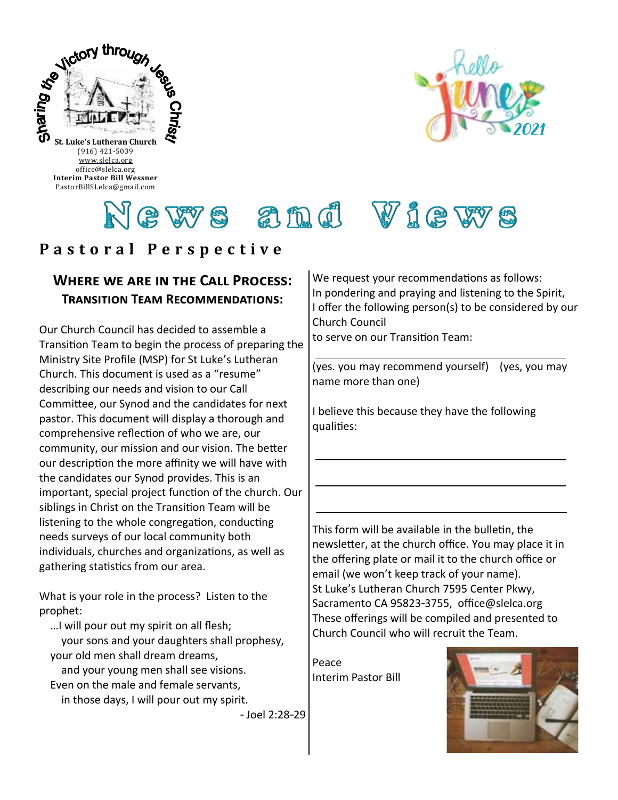



# ews and Views

# **P a s t o r a l P e r s p e c t i v e**

#### **Where we are in the Call Process: Transition Team Recommendations:**

Our Church Council has decided to assemble a Transition Team to begin the process of preparing the Ministry Site Profile (MSP) for St Luke's Lutheran Church. This document is used as a "resume" describing our needs and vision to our Call Committee, our Synod and the candidates for next pastor. This document will display a thorough and comprehensive reflection of who we are, our community, our mission and our vision. The better our description the more affinity we will have with the candidates our Synod provides. This is an important, special project function of the church. Our siblings in Christ on the Transition Team will be listening to the whole congregation, conducting needs surveys of our local community both individuals, churches and organizations, as well as gathering statistics from our area.

What is your role in the process? Listen to the prophet:

…I will pour out my spirit on all flesh;

 your sons and your daughters shall prophesy, your old men shall dream dreams,

 and your young men shall see visions. Even on the male and female servants,

in those days, I will pour out my spirit.

- Joel 2:28-29

We request your recommendations as follows: In pondering and praying and listening to the Spirit, I offer the following person(s) to be considered by our Church Council to serve on our Transition Team:

(yes. you may recommend yourself) (yes, you may name more than one)

I believe this because they have the following qualities:

This form will be available in the bulletin, the newsletter, at the church office. You may place it in the offering plate or mail it to the church office or email (we won't keep track of your name). St Luke's Lutheran Church 7595 Center Pkwy, Sacramento CA 95823-3755, office@slelca.org These offerings will be compiled and presented to Church Council who will recruit the Team.

Peace Interim Pastor Bill

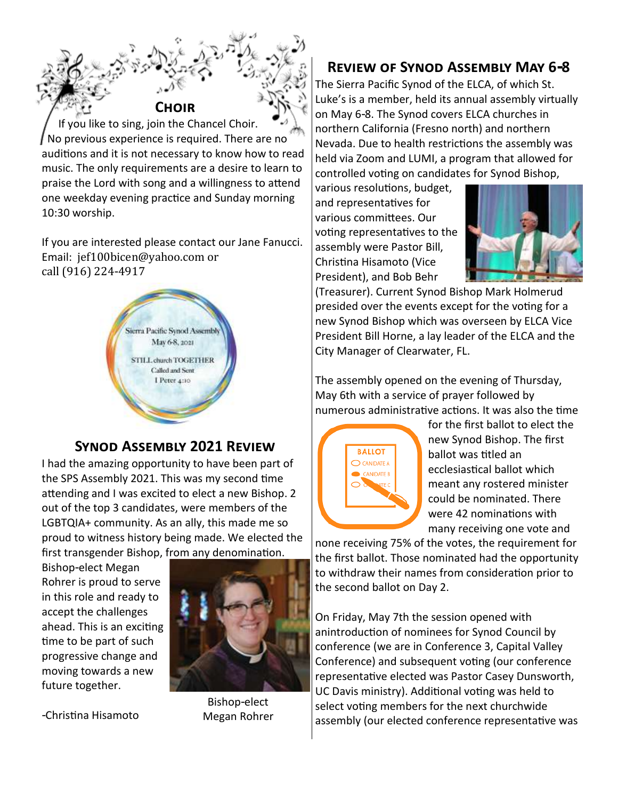**Choir** If you like to sing, join the Chancel Choir. No previous experience is required. There are no auditions and it is not necessary to know how to read music. The only requirements are a desire to learn to praise the Lord with song and a willingness to attend one weekday evening practice and Sunday morning 10:30 worship.

If you are interested please contact our Jane Fanucci. Email: jef100bicen@yahoo.com or call (916) 224-4917



### **Synod Assembly 2021 Review**

I had the amazing opportunity to have been part of the SPS Assembly 2021. This was my second time attending and I was excited to elect a new Bishop. 2 out of the top 3 candidates, were members of the LGBTQIA+ community. As an ally, this made me so proud to witness history being made. We elected the first transgender Bishop, from any denomination.

Bishop-elect Megan Rohrer is proud to serve in this role and ready to accept the challenges ahead. This is an exciting time to be part of such progressive change and moving towards a new future together.





Bishop-elect Megan Rohrer

## **Review of Synod Assembly May 6-8**

The Sierra Pacific Synod of the ELCA, of which St. Luke's is a member, held its annual assembly virtually on May 6-8. The Synod covers ELCA churches in northern California (Fresno north) and northern Nevada. Due to health restrictions the assembly was held via Zoom and LUMI, a program that allowed for controlled voting on candidates for Synod Bishop,

various resolutions, budget, and representatives for various committees. Our voting representatives to the assembly were Pastor Bill, Christina Hisamoto (Vice President), and Bob Behr



(Treasurer). Current Synod Bishop Mark Holmerud presided over the events except for the voting for a new Synod Bishop which was overseen by ELCA Vice President Bill Horne, a lay leader of the ELCA and the City Manager of Clearwater, FL.

The assembly opened on the evening of Thursday, May 6th with a service of prayer followed by numerous administrative actions. It was also the time



for the first ballot to elect the new Synod Bishop. The first ballot was titled an ecclesiastical ballot which meant any rostered minister could be nominated. There were 42 nominations with many receiving one vote and

none receiving 75% of the votes, the requirement for the first ballot. Those nominated had the opportunity to withdraw their names from consideration prior to the second ballot on Day 2.

On Friday, May 7th the session opened with anintroduction of nominees for Synod Council by conference (we are in Conference 3, Capital Valley Conference) and subsequent voting (our conference representative elected was Pastor Casey Dunsworth, UC Davis ministry). Additional voting was held to select voting members for the next churchwide assembly (our elected conference representative was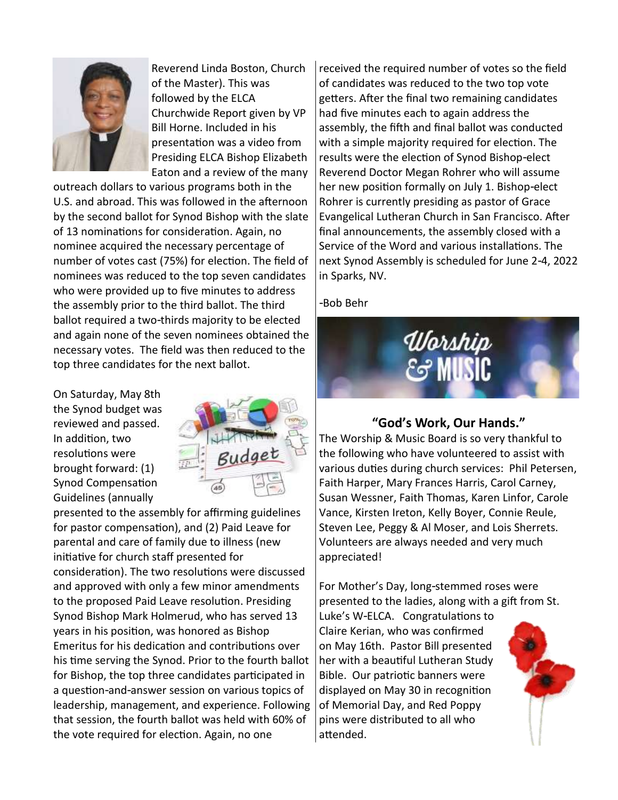

Reverend Linda Boston, Church of the Master). This was followed by the ELCA Churchwide Report given by VP Bill Horne. Included in his presentation was a video from Presiding ELCA Bishop Elizabeth Eaton and a review of the many

outreach dollars to various programs both in the U.S. and abroad. This was followed in the afternoon by the second ballot for Synod Bishop with the slate of 13 nominations for consideration. Again, no nominee acquired the necessary percentage of number of votes cast (75%) for election. The field of nominees was reduced to the top seven candidates who were provided up to five minutes to address the assembly prior to the third ballot. The third ballot required a two-thirds majority to be elected and again none of the seven nominees obtained the necessary votes. The field was then reduced to the top three candidates for the next ballot.

On Saturday, May 8th the Synod budget was reviewed and passed. In addition, two resolutions were brought forward: (1) Synod Compensation Guidelines (annually



presented to the assembly for affirming guidelines for pastor compensation), and (2) Paid Leave for parental and care of family due to illness (new initiative for church staff presented for consideration). The two resolutions were discussed and approved with only a few minor amendments to the proposed Paid Leave resolution. Presiding Synod Bishop Mark Holmerud, who has served 13 years in his position, was honored as Bishop Emeritus for his dedication and contributions over his time serving the Synod. Prior to the fourth ballot for Bishop, the top three candidates participated in a question-and-answer session on various topics of leadership, management, and experience. Following that session, the fourth ballot was held with 60% of the vote required for election. Again, no one

received the required number of votes so the field of candidates was reduced to the two top vote getters. After the final two remaining candidates had five minutes each to again address the assembly, the fifth and final ballot was conducted with a simple majority required for election. The results were the election of Synod Bishop-elect Reverend Doctor Megan Rohrer who will assume her new position formally on July 1. Bishop-elect Rohrer is currently presiding as pastor of Grace Evangelical Lutheran Church in San Francisco. After final announcements, the assembly closed with a Service of the Word and various installations. The next Synod Assembly is scheduled for June 2-4, 2022 in Sparks, NV.

-Bob Behr



### **"God's Work, Our Hands."**

The Worship & Music Board is so very thankful to the following who have volunteered to assist with various duties during church services: Phil Petersen, Faith Harper, Mary Frances Harris, Carol Carney, Susan Wessner, Faith Thomas, Karen Linfor, Carole Vance, Kirsten Ireton, Kelly Boyer, Connie Reule, Steven Lee, Peggy & Al Moser, and Lois Sherrets. Volunteers are always needed and very much appreciated!

For Mother's Day, long-stemmed roses were presented to the ladies, along with a gift from St.

Luke's W-ELCA. Congratulations to Claire Kerian, who was confirmed on May 16th. Pastor Bill presented her with a beautiful Lutheran Study Bible. Our patriotic banners were displayed on May 30 in recognition of Memorial Day, and Red Poppy pins were distributed to all who attended.

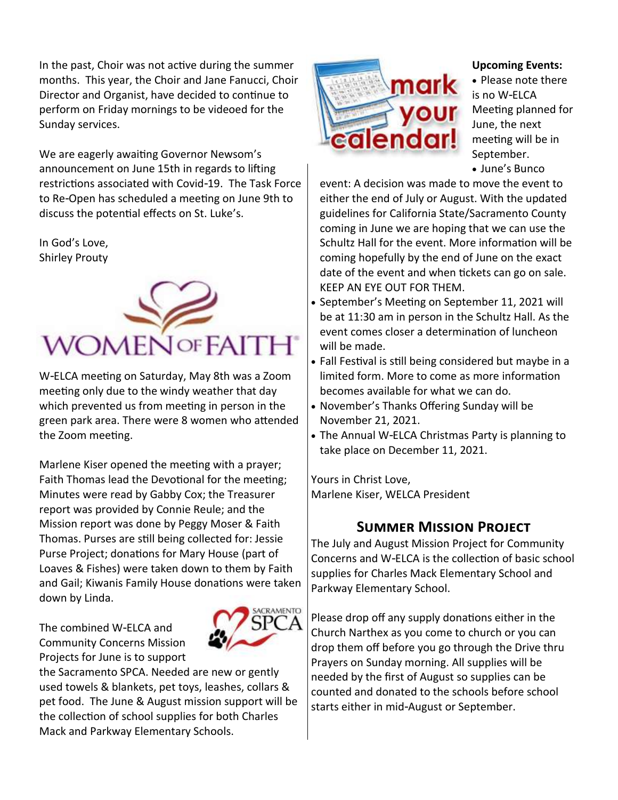In the past, Choir was not active during the summer months. This year, the Choir and Jane Fanucci, Choir Director and Organist, have decided to continue to perform on Friday mornings to be videoed for the Sunday services.

We are eagerly awaiting Governor Newsom's announcement on June 15th in regards to lifting restrictions associated with Covid-19. The Task Force to Re-Open has scheduled a meeting on June 9th to discuss the potential effects on St. Luke's.

In God's Love, Shirley Prouty



W-ELCA meeting on Saturday, May 8th was a Zoom meeting only due to the windy weather that day which prevented us from meeting in person in the green park area. There were 8 women who attended the Zoom meeting.

Marlene Kiser opened the meeting with a prayer; Faith Thomas lead the Devotional for the meeting; Minutes were read by Gabby Cox; the Treasurer report was provided by Connie Reule; and the Mission report was done by Peggy Moser & Faith Thomas. Purses are still being collected for: Jessie Purse Project; donations for Mary House (part of Loaves & Fishes) were taken down to them by Faith and Gail; Kiwanis Family House donations were taken down by Linda.

> **CRAMENTO** 5P)

The combined W-ELCA and Community Concerns Mission Projects for June is to support





#### **Upcoming Events:**

• Please note there is no W-ELCA Meeting planned for June, the next meeting will be in September. • June's Bunco

event: A decision was made to move the event to either the end of July or August. With the updated guidelines for California State/Sacramento County coming in June we are hoping that we can use the Schultz Hall for the event. More information will be coming hopefully by the end of June on the exact date of the event and when tickets can go on sale. KEEP AN EYE OUT FOR THEM.

- September's Meeting on September 11, 2021 will be at 11:30 am in person in the Schultz Hall. As the event comes closer a determination of luncheon will be made.
- Fall Festival is still being considered but maybe in a limited form. More to come as more information becomes available for what we can do.
- November's Thanks Offering Sunday will be November 21, 2021.
- The Annual W-ELCA Christmas Party is planning to take place on December 11, 2021.

Yours in Christ Love, Marlene Kiser, WELCA President

## **Summer Mission Project**

The July and August Mission Project for Community Concerns and W-ELCA is the collection of basic school supplies for Charles Mack Elementary School and Parkway Elementary School.

Please drop off any supply donations either in the Church Narthex as you come to church or you can drop them off before you go through the Drive thru Prayers on Sunday morning. All supplies will be needed by the first of August so supplies can be counted and donated to the schools before school starts either in mid-August or September.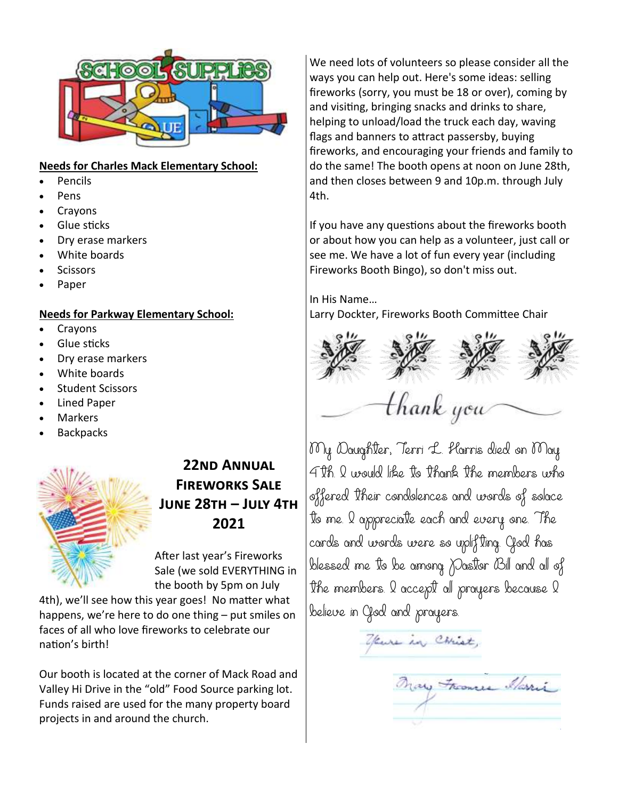

#### **Needs for Charles Mack Elementary School:**

- Pencils
- Pens
- **Crayons**
- Glue sticks
- Dry erase markers
- White boards
- Scissors
- Paper

#### **Needs for Parkway Elementary School:**

- Crayons
- Glue sticks
- Dry erase markers
- White boards
- Student Scissors
- Lined Paper
- **Markers**
- **Backpacks**



# **22nd Annual Fireworks Sale June 28th – July 4th 2021**

After last year's Fireworks Sale (we sold EVERYTHING in the booth by 5pm on July

4th), we'll see how this year goes! No matter what happens, we're here to do one thing – put smiles on faces of all who love fireworks to celebrate our nation's birth!

Our booth is located at the corner of Mack Road and Valley Hi Drive in the "old" Food Source parking lot. Funds raised are used for the many property board projects in and around the church.

We need lots of volunteers so please consider all the ways you can help out. Here's some ideas: selling fireworks (sorry, you must be 18 or over), coming by and visiting, bringing snacks and drinks to share, helping to unload/load the truck each day, waving flags and banners to attract passersby, buying fireworks, and encouraging your friends and family to do the same! The booth opens at noon on June 28th, and then closes between 9 and 10p.m. through July 4th.

If you have any questions about the fireworks booth or about how you can help as a volunteer, just call or see me. We have a lot of fun every year (including Fireworks Booth Bingo), so don't miss out.

In His Name… Larry Dockter, Fireworks Booth Committee Chair



My Daughter, Terri L. Harris died on May 4th. I would like to thank the members who offered their condolences and words of solace to me. I appreciate each and every one. The cards and words were so uplifting. God has blessed me to be among Pastor Bill and all of the members. I accept all prayers because I believe in God and prayers.

your in Christ,

Mary Frances Marris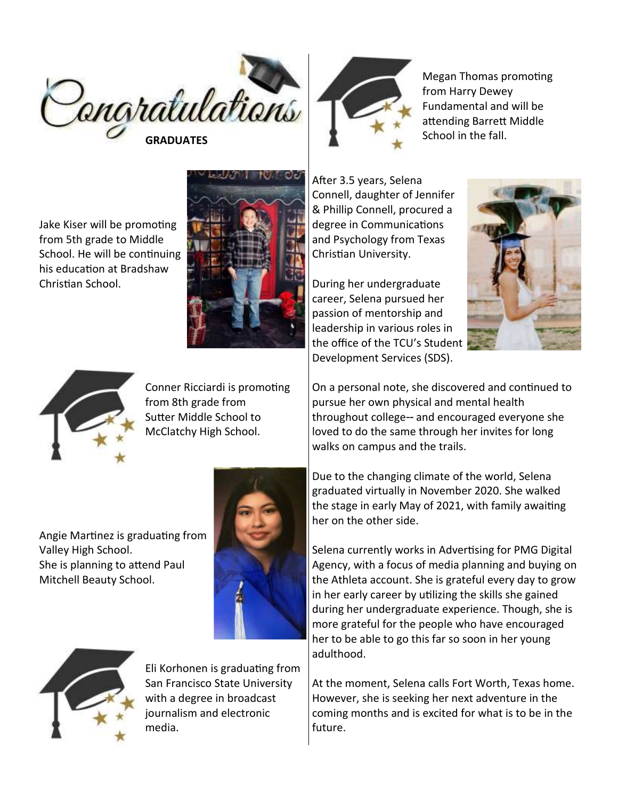

Jake Kiser will be promoting from 5th grade to Middle School. He will be continuing his education at Bradshaw Christian School.





Conner Ricciardi is promoting from 8th grade from Sutter Middle School to McClatchy High School.

Angie Martinez is graduating from Valley High School. She is planning to attend Paul Mitchell Beauty School.





Eli Korhonen is graduating from San Francisco State University with a degree in broadcast journalism and electronic media.



Megan Thomas promoting from Harry Dewey Fundamental and will be attending Barrett Middle School in the fall.

After 3.5 years, Selena Connell, daughter of Jennifer & Phillip Connell, procured a degree in Communications and Psychology from Texas Christian University.

During her undergraduate career, Selena pursued her passion of mentorship and leadership in various roles in the office of the TCU's Student Development Services (SDS).



On a personal note, she discovered and continued to pursue her own physical and mental health throughout college-- and encouraged everyone she loved to do the same through her invites for long walks on campus and the trails.

Due to the changing climate of the world, Selena graduated virtually in November 2020. She walked the stage in early May of 2021, with family awaiting her on the other side.

Selena currently works in Advertising for PMG Digital Agency, with a focus of media planning and buying on the Athleta account. She is grateful every day to grow in her early career by utilizing the skills she gained during her undergraduate experience. Though, she is more grateful for the people who have encouraged her to be able to go this far so soon in her young adulthood.

At the moment, Selena calls Fort Worth, Texas home. However, she is seeking her next adventure in the coming months and is excited for what is to be in the future.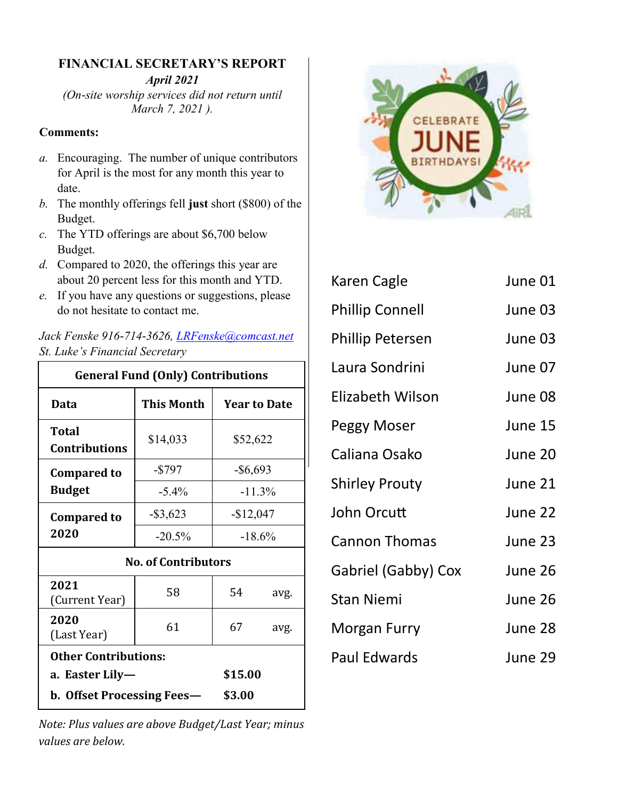#### **FINANCIAL SECRETARY'S REPORT**

*April 2021* 

*(On-site worship services did not return until March 7, 2021 ).*

#### **Comments:**

- *a.* Encouraging. The number of unique contributors for April is the most for any month this year to date.
- *b.* The monthly offerings fell **just** short (\$800) of the Budget.
- *c.* The YTD offerings are about \$6,700 below Budget.
- *d.* Compared to 2020, the offerings this year are about 20 percent less for this month and YTD.
- *e.* If you have any questions or suggestions, please do not hesitate to contact me.

| Conoral Eund (Only) Contributions                |  |
|--------------------------------------------------|--|
| St. Luke's Financial Secretary                   |  |
| Jack Fenske 916-/14-3626, LRFenske(a)comcast.nei |  |

*Jack Fenske 916-714-3626, [LRFenske@comcast.net](mailto:LRFenske@comcast.net)*

| <b>General Fund (Only) Contributions</b> |             |                          |      |  |  |
|------------------------------------------|-------------|--------------------------|------|--|--|
| Data                                     | This Month  | <b>Year to Date</b>      |      |  |  |
| Total<br><b>Contributions</b>            | \$14,033    | \$52,622                 |      |  |  |
| <b>Compared to</b>                       | $-$ \$797   | $-$ \$6,693<br>$-11.3\%$ |      |  |  |
| <b>Budget</b>                            | $-5.4\%$    |                          |      |  |  |
| <b>Compared to</b>                       | $-$ \$3,623 | $-$12,047$               |      |  |  |
| 2020                                     | $-20.5%$    | $-18.6%$                 |      |  |  |
| <b>No. of Contributors</b>               |             |                          |      |  |  |
| 2021<br>(Current Year)                   | 58          | 54                       | avg. |  |  |
| 2020<br>(Last Year)                      | 61          | 67                       | avg. |  |  |
| <b>Other Contributions:</b>              |             |                          |      |  |  |
| a.  Easter Lily—                         |             | \$15.00                  |      |  |  |
| <b>b. Offset Processing Fees—</b>        | \$3.00      |                          |      |  |  |

*Note: Plus values are above Budget/Last Year; minus values are below.* 



| Karen Cagle             | June 01 |
|-------------------------|---------|
| <b>Phillip Connell</b>  | June 03 |
| <b>Phillip Petersen</b> | June 03 |
| Laura Sondrini          | June 07 |
| Elizabeth Wilson        | June 08 |
| Peggy Moser             | June 15 |
| Caliana Osako           | June 20 |
| <b>Shirley Prouty</b>   | June 21 |
| John Orcutt             | June 22 |
| <b>Cannon Thomas</b>    | June 23 |
| Gabriel (Gabby) Cox     | June 26 |
| <b>Stan Niemi</b>       | June 26 |
| Morgan Furry            | June 28 |
| <b>Paul Edwards</b>     | June 29 |